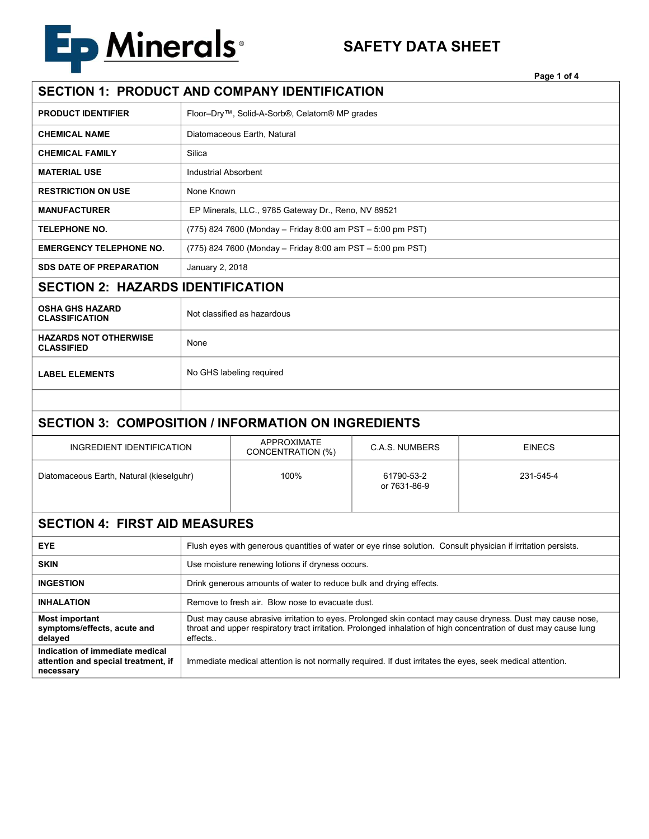

## **SAFETY DATA SHEET**

| SECTION 1: PRODUCT AND COMPANY IDENTIFICATION                                       |                                                                                                                                                                                                                                           |                                         |                            |               |  |  |
|-------------------------------------------------------------------------------------|-------------------------------------------------------------------------------------------------------------------------------------------------------------------------------------------------------------------------------------------|-----------------------------------------|----------------------------|---------------|--|--|
| <b>PRODUCT IDENTIFIER</b>                                                           | Floor-Dry™, Solid-A-Sorb®, Celatom® MP grades                                                                                                                                                                                             |                                         |                            |               |  |  |
| <b>CHEMICAL NAME</b>                                                                | Diatomaceous Earth, Natural                                                                                                                                                                                                               |                                         |                            |               |  |  |
| <b>CHEMICAL FAMILY</b>                                                              | Silica                                                                                                                                                                                                                                    |                                         |                            |               |  |  |
| <b>MATERIAL USE</b>                                                                 | <b>Industrial Absorbent</b>                                                                                                                                                                                                               |                                         |                            |               |  |  |
| <b>RESTRICTION ON USE</b>                                                           | None Known                                                                                                                                                                                                                                |                                         |                            |               |  |  |
| <b>MANUFACTURER</b>                                                                 | EP Minerals, LLC., 9785 Gateway Dr., Reno, NV 89521                                                                                                                                                                                       |                                         |                            |               |  |  |
| <b>TELEPHONE NO.</b>                                                                | (775) 824 7600 (Monday - Friday 8:00 am PST - 5:00 pm PST)                                                                                                                                                                                |                                         |                            |               |  |  |
| <b>EMERGENCY TELEPHONE NO.</b>                                                      | (775) 824 7600 (Monday - Friday 8:00 am PST - 5:00 pm PST)                                                                                                                                                                                |                                         |                            |               |  |  |
| <b>SDS DATE OF PREPARATION</b>                                                      | January 2, 2018                                                                                                                                                                                                                           |                                         |                            |               |  |  |
| <b>SECTION 2: HAZARDS IDENTIFICATION</b>                                            |                                                                                                                                                                                                                                           |                                         |                            |               |  |  |
| <b>OSHA GHS HAZARD</b><br><b>CLASSIFICATION</b>                                     | Not classified as hazardous                                                                                                                                                                                                               |                                         |                            |               |  |  |
| <b>HAZARDS NOT OTHERWISE</b><br><b>CLASSIFIED</b>                                   | None                                                                                                                                                                                                                                      |                                         |                            |               |  |  |
| <b>LABEL ELEMENTS</b>                                                               | No GHS labeling required                                                                                                                                                                                                                  |                                         |                            |               |  |  |
|                                                                                     |                                                                                                                                                                                                                                           |                                         |                            |               |  |  |
| <b>SECTION 3: COMPOSITION / INFORMATION ON INGREDIENTS</b>                          |                                                                                                                                                                                                                                           |                                         |                            |               |  |  |
| INGREDIENT IDENTIFICATION                                                           |                                                                                                                                                                                                                                           | <b>APPROXIMATE</b><br>CONCENTRATION (%) | <b>C.A.S. NUMBERS</b>      | <b>EINECS</b> |  |  |
| Diatomaceous Earth, Natural (kieselguhr)                                            |                                                                                                                                                                                                                                           | 100%                                    | 61790-53-2<br>or 7631-86-9 | 231-545-4     |  |  |
| <b>SECTION 4: FIRST AID MEASURES</b>                                                |                                                                                                                                                                                                                                           |                                         |                            |               |  |  |
| <b>EYE</b>                                                                          | Flush eyes with generous quantities of water or eye rinse solution. Consult physician if irritation persists.                                                                                                                             |                                         |                            |               |  |  |
| <b>SKIN</b>                                                                         | Use moisture renewing lotions if dryness occurs.                                                                                                                                                                                          |                                         |                            |               |  |  |
| <b>INGESTION</b>                                                                    | Drink generous amounts of water to reduce bulk and drying effects.                                                                                                                                                                        |                                         |                            |               |  |  |
| <b>INHALATION</b>                                                                   | Remove to fresh air. Blow nose to evacuate dust.                                                                                                                                                                                          |                                         |                            |               |  |  |
| Most important<br>symptoms/effects, acute and<br>delayed                            | Dust may cause abrasive irritation to eyes. Prolonged skin contact may cause dryness. Dust may cause nose,<br>throat and upper respiratory tract irritation. Prolonged inhalation of high concentration of dust may cause lung<br>effects |                                         |                            |               |  |  |
| Indication of immediate medical<br>attention and special treatment, if<br>necessary | Immediate medical attention is not normally required. If dust irritates the eyes, seek medical attention.                                                                                                                                 |                                         |                            |               |  |  |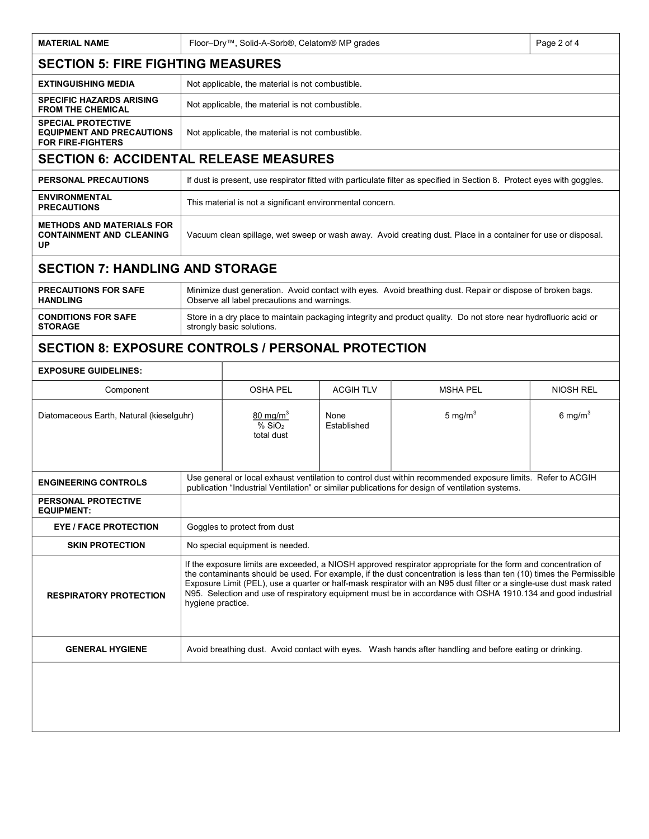| <b>MATERIAL NAME</b>                                                                      | Floor-Dry™, Solid-A-Sorb®, Celatom® MP grades                                                                                                                                                                                                                                                                                                                                                                                                                                                     |                                                                      |                     |                  | Page 2 of 4         |  |  |
|-------------------------------------------------------------------------------------------|---------------------------------------------------------------------------------------------------------------------------------------------------------------------------------------------------------------------------------------------------------------------------------------------------------------------------------------------------------------------------------------------------------------------------------------------------------------------------------------------------|----------------------------------------------------------------------|---------------------|------------------|---------------------|--|--|
| <b>SECTION 5: FIRE FIGHTING MEASURES</b>                                                  |                                                                                                                                                                                                                                                                                                                                                                                                                                                                                                   |                                                                      |                     |                  |                     |  |  |
| <b>EXTINGUISHING MEDIA</b>                                                                | Not applicable, the material is not combustible.                                                                                                                                                                                                                                                                                                                                                                                                                                                  |                                                                      |                     |                  |                     |  |  |
| <b>SPECIFIC HAZARDS ARISING</b><br><b>FROM THE CHEMICAL</b>                               |                                                                                                                                                                                                                                                                                                                                                                                                                                                                                                   | Not applicable, the material is not combustible.                     |                     |                  |                     |  |  |
| <b>SPECIAL PROTECTIVE</b><br><b>EQUIPMENT AND PRECAUTIONS</b><br><b>FOR FIRE-FIGHTERS</b> | Not applicable, the material is not combustible.                                                                                                                                                                                                                                                                                                                                                                                                                                                  |                                                                      |                     |                  |                     |  |  |
| <b>SECTION 6: ACCIDENTAL RELEASE MEASURES</b>                                             |                                                                                                                                                                                                                                                                                                                                                                                                                                                                                                   |                                                                      |                     |                  |                     |  |  |
| <b>PERSONAL PRECAUTIONS</b>                                                               | If dust is present, use respirator fitted with particulate filter as specified in Section 8. Protect eyes with goggles.                                                                                                                                                                                                                                                                                                                                                                           |                                                                      |                     |                  |                     |  |  |
| <b>ENVIRONMENTAL</b><br><b>PRECAUTIONS</b>                                                |                                                                                                                                                                                                                                                                                                                                                                                                                                                                                                   | This material is not a significant environmental concern.            |                     |                  |                     |  |  |
| <b>METHODS AND MATERIALS FOR</b><br><b>CONTAINMENT AND CLEANING</b><br>UP                 | Vacuum clean spillage, wet sweep or wash away. Avoid creating dust. Place in a container for use or disposal.                                                                                                                                                                                                                                                                                                                                                                                     |                                                                      |                     |                  |                     |  |  |
| <b>SECTION 7: HANDLING AND STORAGE</b>                                                    |                                                                                                                                                                                                                                                                                                                                                                                                                                                                                                   |                                                                      |                     |                  |                     |  |  |
| <b>PRECAUTIONS FOR SAFE</b><br><b>HANDLING</b>                                            | Minimize dust generation. Avoid contact with eyes. Avoid breathing dust. Repair or dispose of broken bags.<br>Observe all label precautions and warnings.                                                                                                                                                                                                                                                                                                                                         |                                                                      |                     |                  |                     |  |  |
| <b>CONDITIONS FOR SAFE</b><br><b>STORAGE</b>                                              | Store in a dry place to maintain packaging integrity and product quality. Do not store near hydrofluoric acid or<br>strongly basic solutions.                                                                                                                                                                                                                                                                                                                                                     |                                                                      |                     |                  |                     |  |  |
| <b>SECTION 8: EXPOSURE CONTROLS / PERSONAL PROTECTION</b>                                 |                                                                                                                                                                                                                                                                                                                                                                                                                                                                                                   |                                                                      |                     |                  |                     |  |  |
| <b>EXPOSURE GUIDELINES:</b>                                                               |                                                                                                                                                                                                                                                                                                                                                                                                                                                                                                   |                                                                      |                     |                  |                     |  |  |
| Component                                                                                 | <b>OSHA PEL</b>                                                                                                                                                                                                                                                                                                                                                                                                                                                                                   | <b>ACGIH TLV</b>                                                     | <b>MSHA PEL</b>     | <b>NIOSH REL</b> |                     |  |  |
| Diatomaceous Earth, Natural (kieselguhr)                                                  |                                                                                                                                                                                                                                                                                                                                                                                                                                                                                                   | 80 mg/m <sup>3</sup><br>$\frac{1}{2}$ SiO <sub>2</sub><br>total dust | None<br>Established | 5 mg/ $m3$       | 6 mg/m <sup>3</sup> |  |  |
| <b>ENGINEERING CONTROLS</b>                                                               | Use general or local exhaust ventilation to control dust within recommended exposure limits. Refer to ACGIH<br>publication "Industrial Ventilation" or similar publications for design of ventilation systems.                                                                                                                                                                                                                                                                                    |                                                                      |                     |                  |                     |  |  |
| <b>PERSONAL PROTECTIVE</b><br><b>EQUIPMENT:</b>                                           |                                                                                                                                                                                                                                                                                                                                                                                                                                                                                                   |                                                                      |                     |                  |                     |  |  |
| <b>EYE / FACE PROTECTION</b>                                                              | Goggles to protect from dust                                                                                                                                                                                                                                                                                                                                                                                                                                                                      |                                                                      |                     |                  |                     |  |  |
| <b>SKIN PROTECTION</b>                                                                    | No special equipment is needed.                                                                                                                                                                                                                                                                                                                                                                                                                                                                   |                                                                      |                     |                  |                     |  |  |
| <b>RESPIRATORY PROTECTION</b>                                                             | If the exposure limits are exceeded, a NIOSH approved respirator appropriate for the form and concentration of<br>the contaminants should be used. For example, if the dust concentration is less than ten (10) times the Permissible<br>Exposure Limit (PEL), use a quarter or half-mask respirator with an N95 dust filter or a single-use dust mask rated<br>N95. Selection and use of respiratory equipment must be in accordance with OSHA 1910.134 and good industrial<br>hygiene practice. |                                                                      |                     |                  |                     |  |  |
| <b>GENERAL HYGIENE</b>                                                                    | Avoid breathing dust. Avoid contact with eyes. Wash hands after handling and before eating or drinking.                                                                                                                                                                                                                                                                                                                                                                                           |                                                                      |                     |                  |                     |  |  |
|                                                                                           |                                                                                                                                                                                                                                                                                                                                                                                                                                                                                                   |                                                                      |                     |                  |                     |  |  |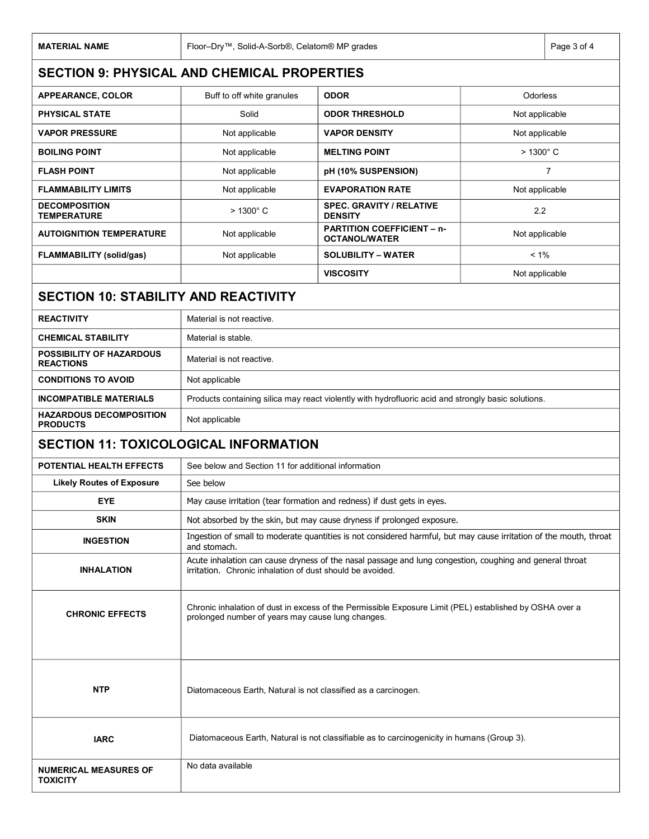| <b>MATERIAL NAME</b>                                | Floor-Dry™, Solid-A-Sorb®, Celatom® MP grades                                                                                                                         | Page 3 of 4                                               |                |                   |  |  |  |
|-----------------------------------------------------|-----------------------------------------------------------------------------------------------------------------------------------------------------------------------|-----------------------------------------------------------|----------------|-------------------|--|--|--|
|                                                     | <b>SECTION 9: PHYSICAL AND CHEMICAL PROPERTIES</b>                                                                                                                    |                                                           |                |                   |  |  |  |
| <b>APPEARANCE, COLOR</b>                            | Buff to off white granules                                                                                                                                            | <b>ODOR</b>                                               | Odorless       |                   |  |  |  |
| <b>PHYSICAL STATE</b>                               | Solid                                                                                                                                                                 | <b>ODOR THRESHOLD</b>                                     | Not applicable |                   |  |  |  |
| <b>VAPOR PRESSURE</b>                               | Not applicable                                                                                                                                                        | <b>VAPOR DENSITY</b>                                      | Not applicable |                   |  |  |  |
| <b>BOILING POINT</b>                                | Not applicable                                                                                                                                                        | <b>MELTING POINT</b>                                      |                | $>1300^{\circ}$ C |  |  |  |
| <b>FLASH POINT</b>                                  | Not applicable                                                                                                                                                        | pH (10% SUSPENSION)                                       |                | $\overline{7}$    |  |  |  |
| <b>FLAMMABILITY LIMITS</b>                          | Not applicable                                                                                                                                                        | <b>EVAPORATION RATE</b>                                   |                | Not applicable    |  |  |  |
| <b>DECOMPOSITION</b><br><b>TEMPERATURE</b>          | > 1300° C                                                                                                                                                             | <b>SPEC. GRAVITY / RELATIVE</b><br><b>DENSITY</b>         | 2.2            |                   |  |  |  |
| <b>AUTOIGNITION TEMPERATURE</b>                     | Not applicable                                                                                                                                                        | <b>PARTITION COEFFICIENT - n-</b><br><b>OCTANOL/WATER</b> | Not applicable |                   |  |  |  |
| <b>FLAMMABILITY (solid/gas)</b>                     | Not applicable                                                                                                                                                        | <b>SOLUBILITY – WATER</b>                                 | $< 1\%$        |                   |  |  |  |
|                                                     |                                                                                                                                                                       | <b>VISCOSITY</b>                                          | Not applicable |                   |  |  |  |
| <b>SECTION 10: STABILITY AND REACTIVITY</b>         |                                                                                                                                                                       |                                                           |                |                   |  |  |  |
| <b>REACTIVITY</b>                                   | Material is not reactive.                                                                                                                                             |                                                           |                |                   |  |  |  |
| <b>CHEMICAL STABILITY</b>                           | Material is stable.                                                                                                                                                   |                                                           |                |                   |  |  |  |
| <b>POSSIBILITY OF HAZARDOUS</b><br><b>REACTIONS</b> | Material is not reactive.                                                                                                                                             |                                                           |                |                   |  |  |  |
| <b>CONDITIONS TO AVOID</b>                          | Not applicable                                                                                                                                                        |                                                           |                |                   |  |  |  |
| <b>INCOMPATIBLE MATERIALS</b>                       | Products containing silica may react violently with hydrofluoric acid and strongly basic solutions.                                                                   |                                                           |                |                   |  |  |  |
| <b>HAZARDOUS DECOMPOSITION</b><br><b>PRODUCTS</b>   | Not applicable                                                                                                                                                        |                                                           |                |                   |  |  |  |
| <b>SECTION 11: TOXICOLOGICAL INFORMATION</b>        |                                                                                                                                                                       |                                                           |                |                   |  |  |  |
| <b>POTENTIAL HEALTH EFFECTS</b>                     | See below and Section 11 for additional information                                                                                                                   |                                                           |                |                   |  |  |  |
| <b>Likely Routes of Exposure</b>                    | See below                                                                                                                                                             |                                                           |                |                   |  |  |  |
| <b>EYE</b>                                          | May cause irritation (tear formation and redness) if dust gets in eyes.                                                                                               |                                                           |                |                   |  |  |  |
| <b>SKIN</b>                                         | Not absorbed by the skin, but may cause dryness if prolonged exposure.                                                                                                |                                                           |                |                   |  |  |  |
| <b>INGESTION</b>                                    | Ingestion of small to moderate quantities is not considered harmful, but may cause irritation of the mouth, throat<br>and stomach.                                    |                                                           |                |                   |  |  |  |
| <b>INHALATION</b>                                   | Acute inhalation can cause dryness of the nasal passage and lung congestion, coughing and general throat<br>irritation. Chronic inhalation of dust should be avoided. |                                                           |                |                   |  |  |  |
| <b>CHRONIC EFFECTS</b>                              | Chronic inhalation of dust in excess of the Permissible Exposure Limit (PEL) established by OSHA over a<br>prolonged number of years may cause lung changes.          |                                                           |                |                   |  |  |  |
| <b>NTP</b>                                          | Diatomaceous Earth, Natural is not classified as a carcinogen.                                                                                                        |                                                           |                |                   |  |  |  |
| <b>IARC</b>                                         | Diatomaceous Earth, Natural is not classifiable as to carcinogenicity in humans (Group 3).                                                                            |                                                           |                |                   |  |  |  |
| <b>NUMERICAL MEASURES OF</b><br><b>TOXICITY</b>     | No data available                                                                                                                                                     |                                                           |                |                   |  |  |  |